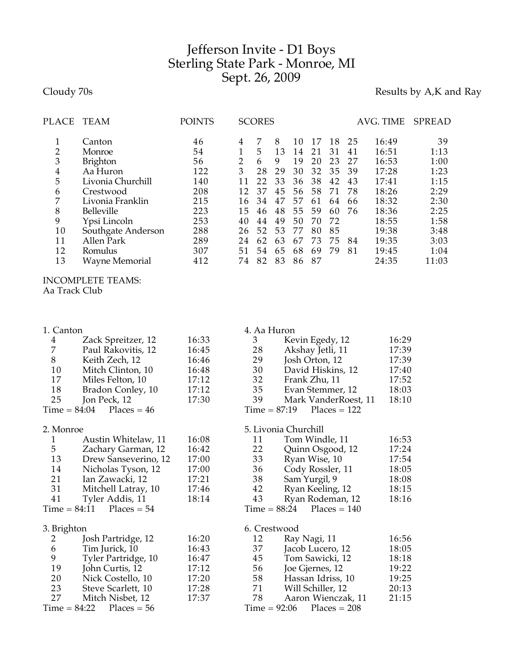## Jefferson Invite - D1 Boys Sterling State Park - Monroe, MI Sept. 26, 2009

Cloudy 70s **Results by A,K and Ray** 

| PLACE          | TEAM               | <b>POINTS</b> |    | <b>SCORES</b> |    |    |    |    |    | AVG. TIME | <b>SPREAD</b> |
|----------------|--------------------|---------------|----|---------------|----|----|----|----|----|-----------|---------------|
|                | Canton             | 46            | 4  | 7             | 8  | 10 | 17 | 18 | 25 | 16:49     | 39            |
| $\overline{2}$ | Monroe             | 54            |    | 5             | 13 | 14 | 21 | 31 | 41 | 16:51     | 1:13          |
| 3              | <b>Brighton</b>    | 56            | 2  | 6             | 9  | 19 | 20 | 23 | 27 | 16:53     | 1:00          |
| 4              | Aa Huron           | 122           | 3  | 28            | 29 | 30 | 32 | 35 | 39 | 17:28     | 1:23          |
| 5              | Livonia Churchill  | 140           |    | 22            | 33 | 36 | 38 | 42 | 43 | 17:41     | 1:15          |
| 6              | Crestwood          | 208           | 12 | 37            | 45 | 56 | 58 | 71 | 78 | 18:26     | 2:29          |
| 7              | Livonia Franklin   | 215           | 16 | 34            | 47 | 57 | 61 | 64 | 66 | 18:32     | 2:30          |
| 8              | Belleville         | 223           | 15 | 46            | 48 | 55 | 59 | 60 | 76 | 18:36     | 2:25          |
| 9              | Ypsi Lincoln       | 253           | 40 | 44            | 49 | 50 | 70 | 72 |    | 18:55     | 1:58          |
| 10             | Southgate Anderson | 288           | 26 | 52            | 53 | 77 | 80 | 85 |    | 19:38     | 3:48          |
| 11             | Allen Park         | 289           | 24 | 62            | 63 | 67 | 73 | 75 | 84 | 19:35     | 3:03          |
| 12             | Romulus            | 307           | 51 | 54            | 65 | 68 | 69 | 79 | 81 | 19:45     | 1:04          |
| 13             | Wayne Memorial     | 412           | 74 | 82            | 83 | 86 | 87 |    |    | 24:35     | 11:03         |
|                |                    |               |    |               |    |    |    |    |    |           |               |

INCOMPLETE TEAMS: Aa Track Club

| 1. Canton      |                      |       | 4. Aa Huron          |                      |       |
|----------------|----------------------|-------|----------------------|----------------------|-------|
| $\overline{4}$ | Zack Spreitzer, 12   | 16:33 | 3                    | Kevin Egedy, 12      | 16:29 |
| $\overline{7}$ | Paul Rakovitis, 12   | 16:45 | 28                   | Akshay Jetli, 11     | 17:39 |
| 8              | Keith Zech, 12       | 16:46 | 29                   | Josh Orton, 12       | 17:39 |
| 10             | Mitch Clinton, 10    | 16:48 | 30                   | David Hiskins, 12    | 17:40 |
| 17             | Miles Felton, 10     | 17:12 | 32                   | Frank Zhu, 11        | 17:52 |
| 18             | Bradon Conley, 10    | 17:12 | 35                   | Evan Stemmer, 12     | 18:03 |
| 25             | Jon Peck, 12         | 17:30 | 39                   | Mark VanderRoest, 11 | 18:10 |
| $Time = 84:04$ | Places = $46$        |       | $Time = 87:19$       | $Places = 122$       |       |
| 2. Monroe      |                      |       | 5. Livonia Churchill |                      |       |
| 1              | Austin Whitelaw, 11  | 16:08 | 11                   | Tom Windle, 11       | 16:53 |
| 5              | Zachary Garman, 12   | 16:42 | 22                   | Quinn Osgood, 12     | 17:24 |
| 13             | Drew Sanseverino, 12 | 17:00 | 33                   | Ryan Wise, 10        | 17:54 |
| 14             | Nicholas Tyson, 12   | 17:00 | 36                   | Cody Rossler, 11     | 18:05 |
| 21             | Ian Zawacki, 12      | 17:21 | 38                   | Sam Yurgil, 9        | 18:08 |
| 31             | Mitchell Latray, 10  | 17:46 | 42                   | Ryan Keeling, 12     | 18:15 |
| 41             | Tyler Addis, 11      | 18:14 | 43                   | Ryan Rodeman, 12     | 18:16 |
| $Time = 84:11$ | $Places = 54$        |       | $Time = 88:24$       | $Places = 140$       |       |
| 3. Brighton    |                      |       | 6. Crestwood         |                      |       |
| 2              | Josh Partridge, 12   | 16:20 | 12                   | Ray Nagi, 11         | 16:56 |
| 6              | Tim Jurick, 10       | 16:43 | 37                   | Jacob Lucero, 12     | 18:05 |
| 9              | Tyler Partridge, 10  | 16:47 | 45                   | Tom Sawicki, 12      | 18:18 |
| 19             | John Curtis, 12      | 17:12 | 56                   | Joe Gjernes, 12      | 19:22 |
| 20             | Nick Costello, 10    | 17:20 | 58                   | Hassan Idriss, 10    | 19:25 |
| 23             | Steve Scarlett, 10   | 17:28 | 71                   | Will Schiller, 12    | 20:13 |
| 27             | Mitch Nisbet, 12     | 17:37 | 78                   | Aaron Wienczak, 11   | 21:15 |
| $Time = 84:22$ | $Places = 56$        |       | $Time = 92:06$       | $Places = 208$       |       |
|                |                      |       |                      |                      |       |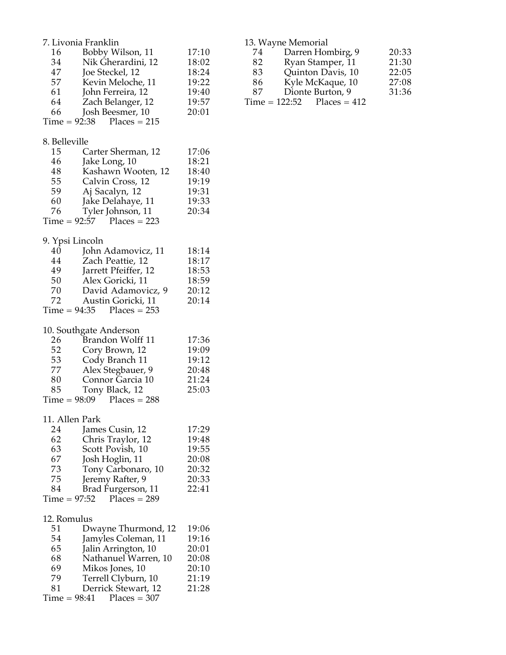| 7. Livonia Franklin         |                                                           |                         |  |  |
|-----------------------------|-----------------------------------------------------------|-------------------------|--|--|
| 16<br>34<br>47              | Bobby Wilson, 11<br>Nik Gherardini, 12<br>Joe Steckel, 12 | 17:10<br>18:02<br>18:24 |  |  |
| 57<br>61                    | Kevin Meloche, 11                                         | 19:22                   |  |  |
| 64                          | John Ferreira, 12<br>Zach Belanger, 12                    | 19:40<br>19:57          |  |  |
| 66                          | Josh Beesmer, 10                                          | 20:01                   |  |  |
| $Time = 92:38$ Places = 215 |                                                           |                         |  |  |
| 8. Belleville               |                                                           |                         |  |  |
| 15                          | Carter Sherman, 12                                        | 17:06                   |  |  |
| 46                          | Jake Long, 10                                             | 18:21                   |  |  |
| 48                          | Kashawn Wooten, 12                                        | 18:40                   |  |  |
| 55<br>59                    | Calvin Cross, 12<br>Aj Sacalyn, 12                        | 19:19<br>19:31          |  |  |
| 60                          | Jake Delahaye, 11                                         | 19:33                   |  |  |
| 76                          | Tyler Johnson, 11                                         | 20:34                   |  |  |
| $Time = 92:57$ Places = 223 |                                                           |                         |  |  |
| 9. Ypsi Lincoln             |                                                           |                         |  |  |
| 40                          | John Adamovicz, 11                                        | 18:14                   |  |  |
| 44                          | Zach Peattie, 12                                          | 18:17                   |  |  |
| 49                          | Jarrett Pfeiffer, 12                                      | 18:53                   |  |  |
| 50<br>70                    | Alex Goricki, 11<br>David Adamovicz, 9                    | 18:59<br>20:12          |  |  |
| 72                          | Austin Goricki, 11                                        | 20:14                   |  |  |
| $Time = 94:35$              | $Places = 253$                                            |                         |  |  |
|                             |                                                           |                         |  |  |
| 10. Southgate Anderson      |                                                           |                         |  |  |
| 26                          | Brandon Wolff 11                                          | 17:36                   |  |  |
| 52<br>53                    | Cory Brown, 12<br>Cody Branch 11                          | 19:09<br>19:12          |  |  |
| 77                          | Alex Stegbauer, 9                                         | 20:48                   |  |  |
| 80                          | Connor Garcia 10                                          | 21:24                   |  |  |
| 85                          | Tony Black, 12                                            | 25:03                   |  |  |
| $Time = 98:09$ Places = 288 |                                                           |                         |  |  |
| 11. Allen Park              |                                                           |                         |  |  |
| 24                          | James Cusin, 12                                           | 17:29                   |  |  |
| 62                          | Chris Traylor, 12                                         | 19:48                   |  |  |
| 63                          | Scott Povish, 10                                          | 19:55<br>20:08          |  |  |
| 67<br>73                    | Josh Hoglin, 11<br>Tony Carbonaro, 10                     | 20:32                   |  |  |
| 75                          | Jeremy Rafter, 9                                          | 20:33                   |  |  |
| 84                          | Brad Furgerson, 11                                        | 22:41                   |  |  |
| $Time = 97:52$              | $Places = 289$                                            |                         |  |  |
| 12. Romulus                 |                                                           |                         |  |  |
| 51                          | Dwayne Thurmond, 12                                       | 19:06                   |  |  |
| 54                          | Jamyles Coleman, 11                                       | 19:16                   |  |  |
| 65                          | Jalin Arrington, 10                                       | 20:01                   |  |  |
| 68                          | Nathanuel Warren, 10                                      | 20:08                   |  |  |
| 69                          | Mikos Jones, 10                                           | 20:10                   |  |  |
| 79<br>81                    | Terrell Clyburn, 10<br>Derrick Stewart, 12                | 21:19<br>21:28          |  |  |
| $Time = 98:41$              | $Places = 307$                                            |                         |  |  |

|    | 13. Wayne Memorial           |       |
|----|------------------------------|-------|
| 74 | Darren Hombirg, 9            | 20:33 |
| 82 | Ryan Stamper, 11             | 21:30 |
| 83 | Quinton Davis, 10            | 22:05 |
| 86 | Kyle McKaque, 10             | 27:08 |
| 87 | Dionte Burton, 9             | 31:36 |
|    | $Time = 122:52$ Places = 412 |       |